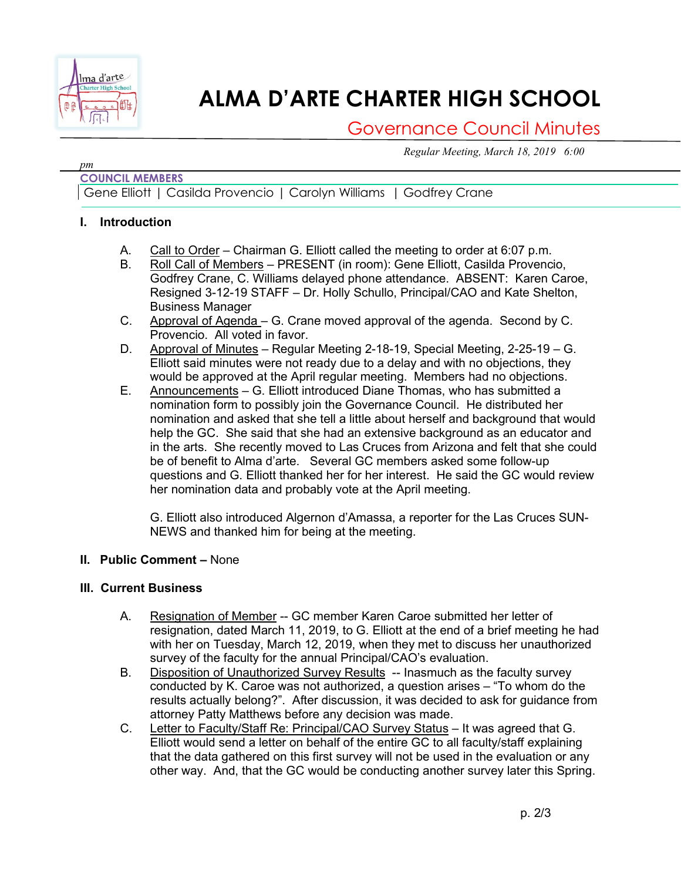

# **ALMA D'ARTE CHARTER HIGH SCHOOL**

## Governance Council Minutes

*Regular Meeting, March 18, 2019 6:00* 

#### *pm* **COUNCIL MEMBERS**

Gene Elliott | Casilda Provencio | Carolyn Williams | Godfrey Crane

### **I. Introduction**

- A. Call to Order Chairman G. Elliott called the meeting to order at 6:07 p.m.
- B. Roll Call of Members PRESENT (in room): Gene Elliott, Casilda Provencio, Godfrey Crane, C. Williams delayed phone attendance. ABSENT: Karen Caroe, Resigned 3-12-19 STAFF – Dr. Holly Schullo, Principal/CAO and Kate Shelton, Business Manager
- C. Approval of Agenda G. Crane moved approval of the agenda. Second by C. Provencio. All voted in favor.
- D. Approval of Minutes Regular Meeting 2-18-19, Special Meeting, 2-25-19 G. Elliott said minutes were not ready due to a delay and with no objections, they would be approved at the April regular meeting. Members had no objections.
- E. Announcements G. Elliott introduced Diane Thomas, who has submitted a nomination form to possibly join the Governance Council. He distributed her nomination and asked that she tell a little about herself and background that would help the GC. She said that she had an extensive background as an educator and in the arts. She recently moved to Las Cruces from Arizona and felt that she could be of benefit to Alma d'arte. Several GC members asked some follow-up questions and G. Elliott thanked her for her interest. He said the GC would review her nomination data and probably vote at the April meeting.

G. Elliott also introduced Algernon d'Amassa, a reporter for the Las Cruces SUN-NEWS and thanked him for being at the meeting.

### **II. Public Comment –** None

### **III. Current Business**

- A. Resignation of Member -- GC member Karen Caroe submitted her letter of resignation, dated March 11, 2019, to G. Elliott at the end of a brief meeting he had with her on Tuesday, March 12, 2019, when they met to discuss her unauthorized survey of the faculty for the annual Principal/CAO's evaluation.
- B. Disposition of Unauthorized Survey Results -- Inasmuch as the faculty survey conducted by K. Caroe was not authorized, a question arises – "To whom do the results actually belong?". After discussion, it was decided to ask for guidance from attorney Patty Matthews before any decision was made.
- C. Letter to Faculty/Staff Re: Principal/CAO Survey Status It was agreed that G. Elliott would send a letter on behalf of the entire GC to all faculty/staff explaining that the data gathered on this first survey will not be used in the evaluation or any other way. And, that the GC would be conducting another survey later this Spring.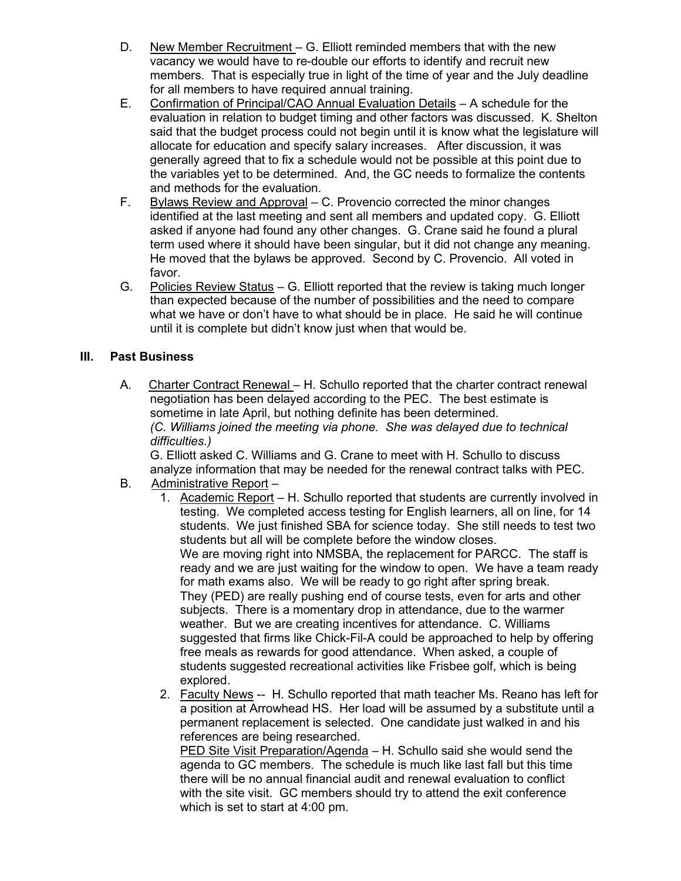- D. New Member Recruitment G. Elliott reminded members that with the new vacancy we would have to re-double our efforts to identify and recruit new members. That is especially true in light of the time of year and the July deadline for all members to have required annual training.
- E. Confirmation of Principal/CAO Annual Evaluation Details A schedule for the evaluation in relation to budget timing and other factors was discussed. K. Shelton said that the budget process could not begin until it is know what the legislature will allocate for education and specify salary increases. After discussion, it was generally agreed that to fix a schedule would not be possible at this point due to the variables yet to be determined. And, the GC needs to formalize the contents and methods for the evaluation.
- F. Bylaws Review and Approval C. Provencio corrected the minor changes identified at the last meeting and sent all members and updated copy. G. Elliott asked if anyone had found any other changes. G. Crane said he found a plural term used where it should have been singular, but it did not change any meaning. He moved that the bylaws be approved. Second by C. Provencio. All voted in favor.
- G. Policies Review Status G. Elliott reported that the review is taking much longer than expected because of the number of possibilities and the need to compare what we have or don't have to what should be in place. He said he will continue until it is complete but didn't know just when that would be.

### **III. Past Business**

A. Charter Contract Renewal – H. Schullo reported that the charter contract renewal negotiation has been delayed according to the PEC. The best estimate is sometime in late April, but nothing definite has been determined. *(C. Williams joined the meeting via phone. She was delayed due to technical difficulties.)*

G. Elliott asked C. Williams and G. Crane to meet with H. Schullo to discuss analyze information that may be needed for the renewal contract talks with PEC.

- B. Administrative Report -
	- 1. Academic Report H. Schullo reported that students are currently involved in testing. We completed access testing for English learners, all on line, for 14 students. We just finished SBA for science today. She still needs to test two students but all will be complete before the window closes. We are moving right into NMSBA, the replacement for PARCC. The staff is ready and we are just waiting for the window to open. We have a team ready for math exams also. We will be ready to go right after spring break. They (PED) are really pushing end of course tests, even for arts and other subjects. There is a momentary drop in attendance, due to the warmer weather. But we are creating incentives for attendance. C. Williams suggested that firms like Chick-Fil-A could be approached to help by offering free meals as rewards for good attendance. When asked, a couple of students suggested recreational activities like Frisbee golf, which is being explored.
	- 2. Faculty News -- H. Schullo reported that math teacher Ms. Reano has left for a position at Arrowhead HS. Her load will be assumed by a substitute until a permanent replacement is selected. One candidate just walked in and his references are being researched.

PED Site Visit Preparation/Agenda – H. Schullo said she would send the agenda to GC members. The schedule is much like last fall but this time there will be no annual financial audit and renewal evaluation to conflict with the site visit. GC members should try to attend the exit conference which is set to start at 4:00 pm.